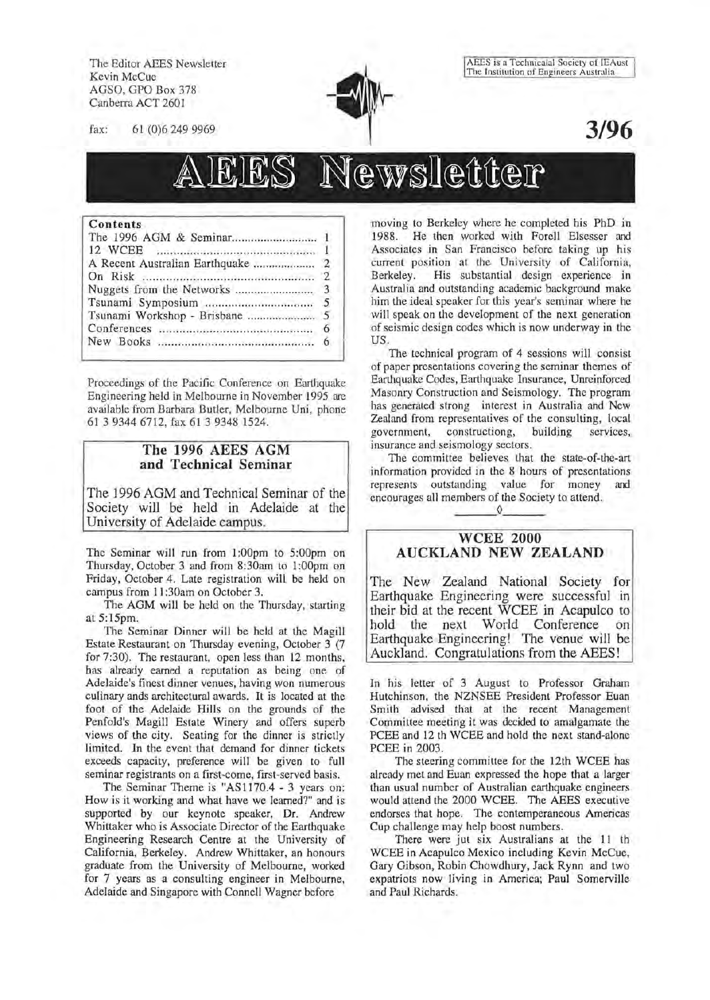The Editor AEES Newsletter Kevin McCue AGSO, GPO Box 378 Canberra ACT 2601

fax: 61 (0)6 249 9969

## **3/96**

# ewsletter

Contents

Proceedings of the Pacific Conference on Earthquake Engineering held in Melbourne in November 1995 are available from Barbara Butler, Melbourne Uni, phone 61 3 9344 6712, fax 61 3 9348 1524.

#### The 1996 AEES AGM and Technical Seminar

The 1996 AGM and Technical Seminar of the Society will be held in Adelaide at the University of Adelaide campus.

The Seminar will run from 1:OOpm to 5:00pm on Thursday, October 3 and from 8:30am to 1:OOpm on Friday, October 4. Late registration will be held on campus from 11 :30am on October 3.

The AGM will be held on the Thursday, starting at 5:15pm.

The Seminar Dinner will be held at the Magill Estate Restaurant on Thursday evening, October 3 (7 for 7:30). The restaurant, open less than 12 months, has already earned a reputation as being one of Adelaide's finest dinner venues, having won numerous culinary ands architectural awards. It is located at the foot of the Adelaide Hills on the grounds of the Penfold's Magill Estate Winery and offers superb views of the city. Seating for the dinner is strictly limited. In the event that demand for dinner tickets exceeds capacity, preference will be given to full seminar registrants on a first-come, first-served basis.

The Seminar Theme is "AS1170.4- 3 years on: How is it working and what have we learned?" and is supported by our keynote speaker, Dr. Andrew Whittaker who is Associate Director of the Earthquake Engineering Research Centre at the University of California, Berkeley. Andrew Whittaker, an honours graduate from the University of Melbourne, worked for 7 years as a consulting engineer in Melbourne, Adelaide and Singapore with Connell Wagner before

moving to Berkeley where he completed his PhD in 1988. He then worked with Forell Elsesser and Associates in San Francisco before taking up his current position at the University of California, Berkeley. His substantial design experience in Australia and outstanding academic background make him the ideal speaker for this year's seminar where he will speak on the development of the next generation of seismic design codes which is now underway in the US.

The technical program of 4 sessions will consist of paper presentations covering the seminar themes of Earthquake Codes, Earthquake Insurance, Unreinforced Masonry Construction and Seismology. The program has generated strong interest in Australia and New Zealand from representatives of the consulting, local government, constructiong, building services, insurance and seismology sectors.

The committee believes that the state-of-the-art information provided in the 8 hours of presentations represents outstanding value for money and encourages all members of the Society to attend.  $\Diamond$ 

#### WCEE 2000 AUCKLAND NEW ZEALAND

The New Zealand National Society for Earthquake Engineering were successful in their bid at the recent WCEE in Acapulco to hold the next World Conference on Earthquake Engineering! The venue will be Auckland. Congratulations from the AEES!

In his letter of 3 August to Professor Graham Hutchinson, the NZNSEE President Professor Euan Smith advised that at the recent Management Committee meeting it was decided to amalgamate the PCEE and 12 th WCEE and hold the next stand-alone PCEE in 2003.

The steering committee for the 12th WCEE has already met and Euan expressed the hope that a larger than usual number of Australian earthquake engineers would attend the 2000 WCEE. The AEES executive endorses that hope. The contemperaneous Americas Cup challenge may help boost numbers.

There were jut six Australians at the 11 th WCEE in Acapulco Mexico including Kevin McCue, Gary Gibson, Robin Chowdhury, Jack Rynn and two expatriots now living in America; Paul Somerville and Paul Richards.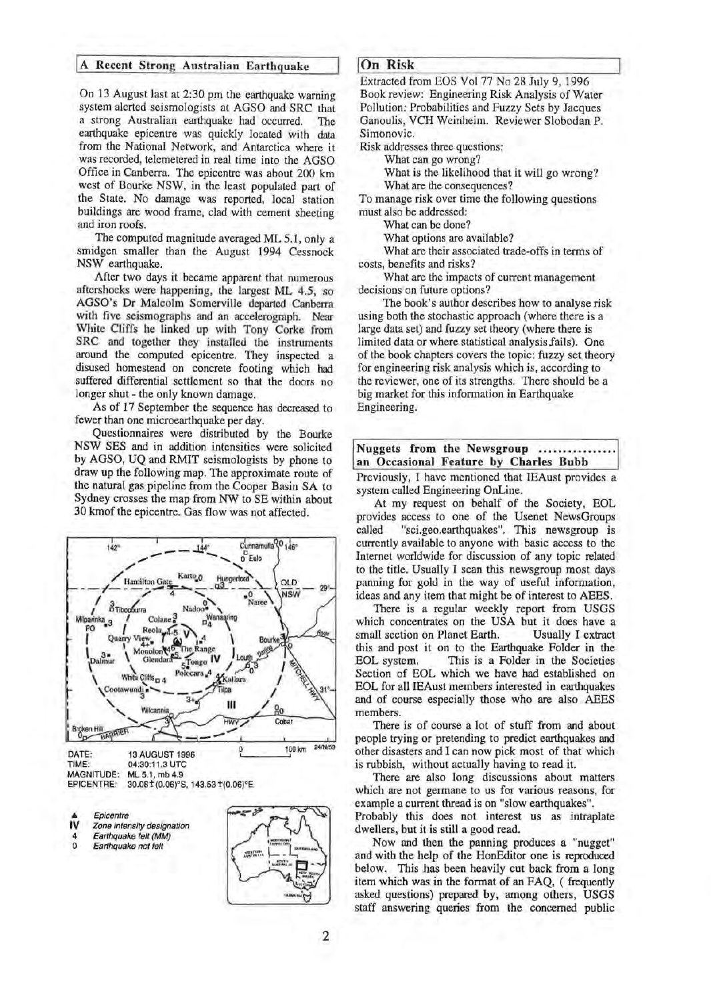#### A Recent Strong Australian Earthquake

On 13 August last at 2:30 pm the earthquake warning system alerted seismologists at AGSO and SRC that a strong Australian earthquake had occurred. The earthquake epicentre was quickly located with data from the National Network, and Antarctica where it was recorded, telemetered in real time into the AGSO Office in Canberra. The epicentre was about 200 km west of Bourke NSW, in the least populated part of the State. No damage was reported, local station buildings are wood frame, clad with cement sheeting and iron roofs.

The computed magnitude averaged ML 5.1, only a smidgen smaller than the August 1994 Cessnock NSW earthquake.

After two days it became apparent that numerous aftershocks were happening, the largest ML 4.5, so AGSO's Dr Malcolm Somerville departed Canberra with five seismographs and an accelerograph. Near White Cliffs he linked up with Tony Corke from SRC and together they installed the instruments around the computed epicentre. They inspected a disused homestead on concrete footing which had suffered differential settlement so that the doors no longer shut - the only known damage.

As of 17 September the sequence has decreased to fewer than one microearthquake per day.

Questionnaires were distributed by the Bourke NSW SES and in addition intensities were solicited by AGSO, UQ and RMIT seismologists by phone to draw up the following map. The approximate route of the natural gas pipeline from the Cooper Basin SA to Sydney crosses the map from NW to SE within about 30 kmof the epicentre. Gas flow was not affected.



TIME: 04:30:11.3 UTC **MAGNITUDE:** ML 5.1, mb 4.9 30.08 ± (0.06)°S, 143.53 ± (0.06)°E **EPICENTRE:** 

- Epicentre
- IV Zone intensity designation
- Earthquake felt (MM)  $\mathfrak{o}$ Earthquake not felt



#### On Risk

Extracted from EOS Vol 77 No 28 July 9, 1996 Book review: Engineering Risk Analysis of Water Pollution: Probabilities and Fuzzy Sets by Jacques Ganoulis, VCH Weinheim. Reviewer Slobodan P. Simonovic.

Risk addresses three questions:

What can go wrong?

What is the likelihood that it will go wrong? What are the consequences?

To manage risk over time the following questions must also be addressed:

What can be done?

What options are available?

What are their associated trade-offs in terms of costs, benefits and risks?

What are the impacts of current management decisions on future options?

The book's author describes how to analyse risk using both the stochastic approach (where there is a large data set) and fuzzy set theory (where there is limited data or where statistical analysis fails). One of the book chapters covers the topic: fuzzy set theory for engineering risk analysis which is, according to the reviewer, one of its strengths. There should be a big market for this information in Earthquake Engineering.

|  |  |                                       | Nuggets from the Newsgroup |
|--|--|---------------------------------------|----------------------------|
|  |  | an Occasional Feature by Charles Bubb |                            |

Previously, 1 have mentioned that IEAust provides a system called Engineering OnLine.

At my request on behalf of the Society, EOL provides access to one of the Usenet NewsGroups called "sci.geo.earthquakes". This newsgroup is currently available to anyone with basic access to the Internet worldwide for discussion of any topic related to the title. Usually I scan this newsgroup most days panning for gold in the way of useful information, ideas and any item that might be of interest to AEES.

There is a regular weekly report from USGS which concentrates on the USA but it does have a small section on Planet Earth. Usually I extract this and post it on to the Earthquake Folder in the This is a Folder in the Societies EOL system. Section of EOL which we have had established on EOL for all IEAust members interested in earthquakes and of course especially those who are also AEES members.

There is of course a lot of stuff from and about people trying or pretending to predict earthquakes and other disasters and I can now pick most of that which is rubbish, without actually having to read it.

There are also long discussions about matters which are not germane to us for various reasons, for example a current thread is on "slow earthquakes".

Probably this does not interest us as intraplate dwellers, but it is still a good read.

Now and then the panning produces a "nugget" and with the help of the HonEditor one is reproduced below. This has been heavily cut back from a long item which was in the format of an FAQ, (frequently asked questions) prepared by, among others, USGS staff answering queries from the concerned public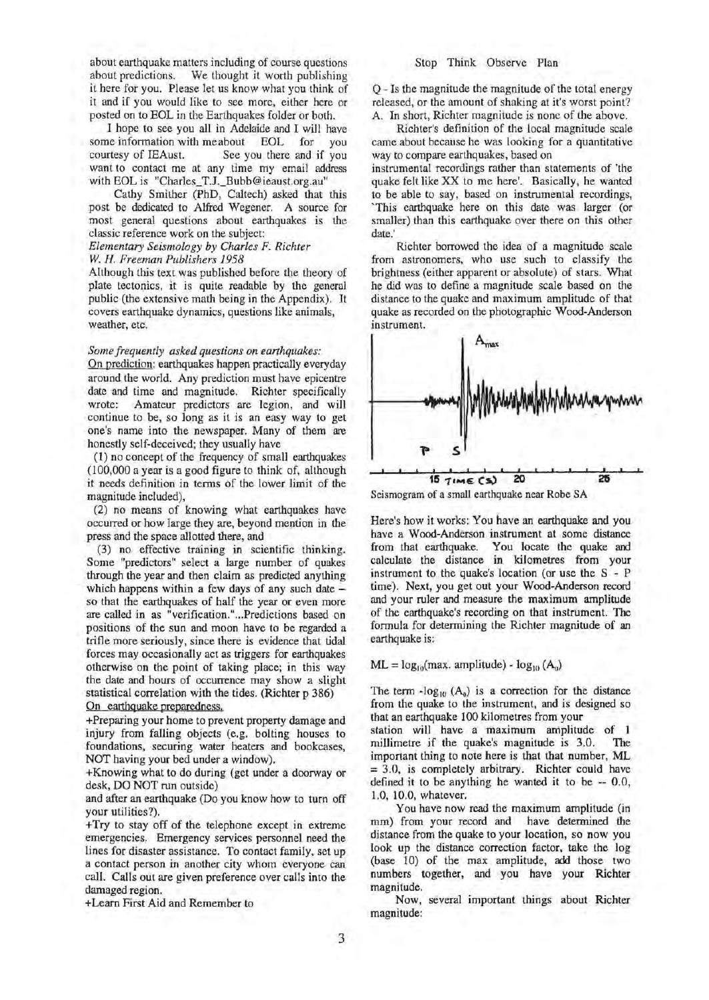about earthquake matters including of course questions about predictions. We thought it worth publishing it here for you. Please let us know what you think of it and if you would like to see more, either here or posted on to EOL in the Earthquakes folder or both.

I hope to see you all in Adelaide and I will have some information with meabout EOL for you<br>courtesy of IEAust. See you there and if you See you there and if you want to contact me at any time my email address with EOL is "Charles\_T.J.\_Bubb@ieaust.org.au"

Cathy Smither (PhD, Caltech) asked that this post be dedicated to Alfred Wegener. A source for most general questions about earthquakes is the classic reference work on the subject:

*Elementary Seismology by Charles* F. *Richter W. H. Freeman Publishers 1958* 

Although this text was published before the theory of plate tectonics, it is quite readable by the general public (the extensive math being in the Appendix). It covers earthquake dynamics, questions like animals,

#### *Some frequently asked questions on earthquakes:*

weather, etc.

On prediction: earthquakes happen practically everyday around the world. Any prediction must have epicentre date and time and magnitude. Richter specifically wrote: Amateur predictors are legion, and will continue to be, so long as it is an easy way to get one's name into the newspaper. Many of them are honestly self-deceived; they usually have

(1) no concept of the frequency of small earthquakes (100,000 a year is a good figure to think of, although it needs definition in terms of the lower limit of the magnitude included),

(2) no means of knowing what earthquakes have occurred or how large they are, beyond mention in the press and the space allotted there, and

(3) no effective training in scientific thinking. Some "predictors" select a large number of quakes through the year and then claim as predicted anything which happens within a few days of any such date so that the earthquakes of half the year or even more are called in as "verification." ... Predictions based on positions of the sun and moon have to be regarded a trifle more seriously, since there is evidence that tidal forces may occasionally act as triggers for earthquakes otherwise on the point of taking place; in this way the date and hours of occurrence may show a slight statistical correlation with the tides. (Richter p 386) On earthquake preparedness,

+Preparing your home to prevent property damage and injury from falling objects (e.g. bolting houses to foundations, securing water heaters and bookcases, NOT having your bed under a window).

+Knowing what to do during (get under a doorway or desk, DO NOT run outside)

and after an earthquake (Do you know how to turn off your utilities?).

+Try to stay off of the telephone except in extreme emergencies. Emergency services personnel need the lines for disaster assistance. To contact family, set up a contact person in another city whom everyone can call. Calls out are given preference over calls into the damaged region.

+Learn First Aid and Remember to

#### Stop Think Observe Plan

Q - Is the magnitude the magnitude of the total energy released, or the amount of shaking at it's worst point? A. In short, Richter magnitude is none of the above.

Richter's definition of the local magnitude scale came about because he was looking for a quantitative way to compare earthquakes, based on

instrumental recordings rather than statements of 'the quake felt like XX to me here'. Basically, he wanted to be able to say, based on instrumental recordings, 'This earthquake here on this date was larger (or smaller) than this earthquake over there on this other date.'

Richter borrowed the idea of a magnitude scale from astronomers, who use such to classify the brightness (either apparent or absolute) of stars. What he did was to define a magnitude scale based on the distance to the quake and maximum amplitude of that quake as recorded on the photographic Wood-Anderson instrument.



Seismogram of a small earthquake near Robe SA

Here's how it works: You have an earthquake and you have a Wood-Anderson instrument at some distance from that earthquake. You locate the quake and calculate the distance in kilometres from your instrument to the quake's location (or use the S - P time). Next, you get out your Wood-Anderson record and your ruler and measure the maximum amplitude of the earthquake's recording on that instrument. The formula for determining the Richter magnitude of an earthquake is:

 $ML = log_{10}(max.$  amplitude) -  $log_{10}(A_0)$ 

The term  $-log_{10}(A_0)$  is a correction for the distance from the quake to the instrument, and is designed so that an earthquake 100 kilometres from your

station will have a maximum amplitude of I millimetre if the quake's magnitude is 3.0. The important thing to note here is that that number, ML = 3.0, is completely arbitrary. Richter could have defined it to be anything he wanted it to be -- 0.0, 1.0, 10.0, whatever.

You have now read the maximum amplitude (in mm) from your record and have determined the distance from the quake to your location, so now you look up the distance correction factor, take the log (base 10) of the max amplitude, add those two numbers together, and you have your Richter magnitude.

Now, several important things about Richter magnitude: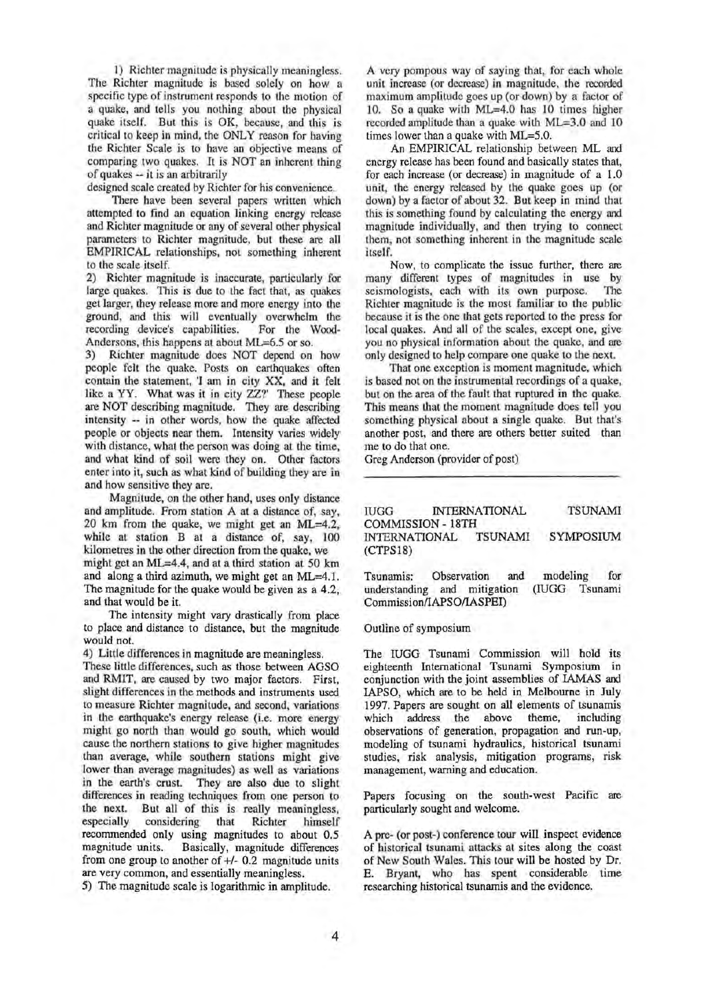1) Richter magnitude is physically meaningless. The Richter magnitude is based solely on how a specific type of instrument responds to the motion of a quake, and tells you nothing about the physical quake itself. But this is OK, because, and this is critical to keep in mind, the ONLY reason for having the Richter Scale is to have an objective means of comparing two quakes. It is NOT an inherent thing of quakes  $-$  it is an arbitrarily

designed scale created by Richter for his convenience.

There have been several papers written which attempted to find an equation linking energy release and Richter magnitude or any of several other physical parameters to Richter magnitude, but these are all EMPIRICAL relationships, not something inherent to the scale itself.

2) Richter magnitude is inaccurate, particularly for large quakes. This is due to the fact that, as quakes get larger, they release more and more energy into the ground, and this will eventually overwhelm the recording device's capabilities. For the Woodrecording device's capabilities. Andersons, this happens at about ML=6.5 or so.

3) Richter magnitude does NOT depend on how people felt the quake. Posts on earthquakes often contain the statement, 'I am in city XX, and it felt like a YY. What was it in city ZZ?' These people are NOT describing magnitude. They are describing intensity -- in other words, bow the quake affected people or objects near them. Intensity varies widely with distance, what the person was doing at the time, and what kind of soil were they on. Other factors enter into it, such as what kind of building they are in and how sensitive they are.

Magnitude, on the other hand, uses only distance and amplitude. From station A at a distance of, say, 20 km from the quake, we might get an ML=4.2, while at station B at a distance of, say, 100 kilometres in the other direction from the quake, we

might get an ML=4.4, and at a third station at *50* km and along a third azimuth, we might get an ML=4.1. The magnitude for the quake would be given as a 4.2, and that would be it.

The intensity might vary drastically from place to place and distance to distance, but the magnitude would not.

4) Little differences in magnitude are meaningless.

These little differences, such as those between AGSO and RM1T, are caused by two major factors. First, slight differences in the methods and instruments used to measure Richter magnitude, and second, variations in the earthquake's energy release (i.e. more energy might go north than would go south, which would cause the northern stations to give higher magnitudes than average, while southern stations might give lower than average magnitudes) as well as variations in the earth's crust. They are also due to slight differences in reading techniques from one person to the next. But all of this is really meaningless, especially considering that Richter himself recommended only using magnitudes to about 0.5 magnitude units. Basically, magnitude differences from one group to another of *+1-* 0.2 magnitude units are very common, and essentially meaningless.

5) The magnitude scale is logarithmic in amplitude.

A very pompous way of saying that, for each whole unit increase (or decrease) in magnitude, the recorded maximum amplltude goes up (or down) by a factor of 10. So a quake with  $ML=4.0$  has 10 times higher recorded amplitude than a quake with ML=3.0 and 10 times lower than a quake with ML=5.0.

An EMPIRICAL relationship between ML and energy release has been found and basically states that, for each increase (or decrease) in magnitude of a 1.0 unit, the energy released by the quake goes up (or down) by a factor of about 32. Bul keep in mind that this is something found by calculating the energy and magnitude individually, and then trying to connect them, not something inherent in the magnitude scale itself.

Now, to complicate the issue further, there are many different types of magnitudes in use by<br>seismologists, each with its own purpose. The seismologists, each with its own purpose. Richter magnitude is the most familiar to the public because it is the one that gets reported to the press for local quakes. And all of the scales, except one, give you no physical information about the quake, and are only designed to help compare one quake to the next.

That one exception is moment magnitude, which is based not on the instrumental recordings of a quake, but on the area of the fault that ruptured in the quake. This means that the moment magnitude does tell you something physical about a single quake. But that's another post, and there are others better suited than me to do that one.

Greg Anderson (provider of post)

IUGG INTERNATIONAL COMMISSION - 18TH INTERNATIONAL TSUNAMI (CTPS18) TSUNAMI SYMPOSIUM

Tsunamis: Observation and understanding and mitigation Commission/IAPSO/IASPEI) modeling for (IUGG Tsunami

Outline of symposium

The IUGG Tsunami Commission will hold its eighteenth International Tsunami Symposium in conjunction with the joint assemblies of IAMAS and IAPSO, which are to be held in Melbourne in July 1997. Papers are sought on all elements of tsunamis which address the above theme, including observations of generation, propagation and run-up, modeling of tsunami hydraulics, historical tsunami studies, risk analysis, mitigation programs, risk management, warning and education.

Papers focusing on the south-west Pacific are particularly sought and welcome.

A pre- (or post-) conference tour will inspect evidence of historical tsunami attacks at sites along the coast of New South Wales. This tour will be hosted by Dr. E. Bryant, who has spent considerable time researching historical tsunamis and the evidence.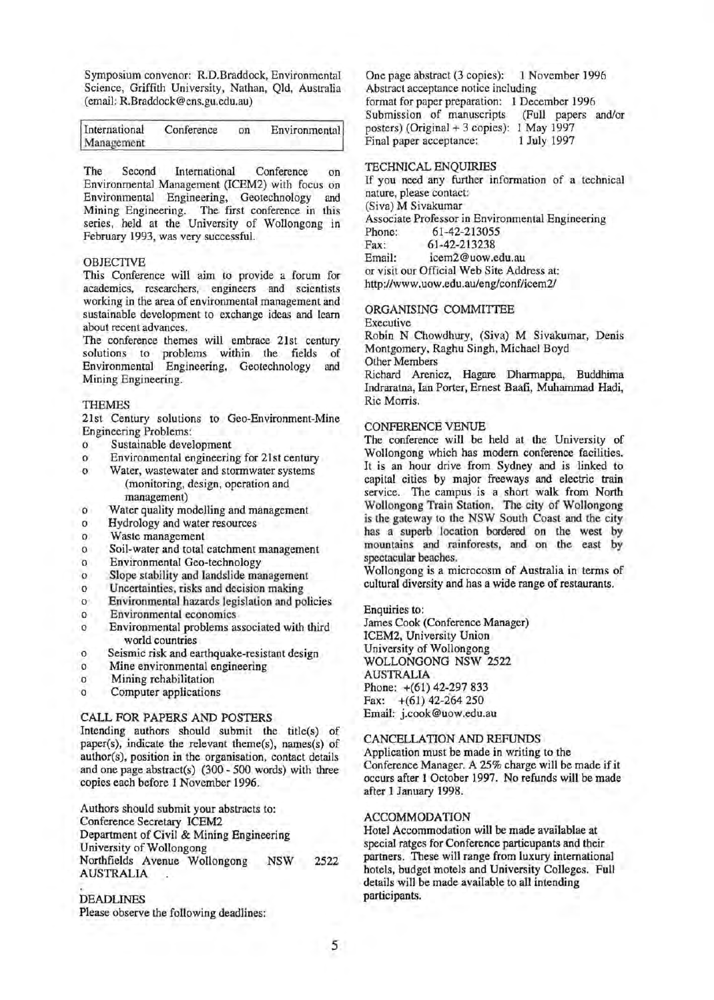Symposium convenor: R.D.Braddock, Environmental Science, Griffith University, Nathan, Qld, Australia (email: R.Braddock@ens.gu.edu.au)

| International | Conference | on | Environmental |
|---------------|------------|----|---------------|
| Management    |            |    |               |

The Second International Conference on Environmental Management (ICEM2) with focus on Environmental Engineering, Geotechnology and Mining Engineering. The first conference in this series, held at the University of Wollongong in February 1993, was very successful.

#### OBJECTIVE

This Conference will aim to provide a forum for academics, researchers, engineers and scientists working in the area of environmental management and sustainable development to exchange ideas and learn about recent advances.

The conference themes will embrace 21st century solutions to problems within the fields of Environmental Engineering, Geotechnology and Mining Engineering.

#### **THEMES**

21st Century solutions to Geo-Environment-Mine Engineering Problems:

- o Sustainable development
- o Environmental engineering for 21st century
- o Water, wastewater and stormwater systems (monitoring, design, operation and management)
- o Water quality modelling and management
- o Hydrology and water resources
- o Waste management
- o Soil-water and total catchment management
- o Environmental Geo-technology
- o Slope stability and landslide management
- o Uncertainties, risks and decision making
- o Environmental hazards legislation and policies
- o Environmental economics
- o Environmental problems associated with third world countries
- o Seismic risk and earthquake-resistant design
- o Mine environmental engineering
- o Mining rehabilitation
- o Computer applications

#### CALL FOR PAPERS AND POSTERS

Intending authors should submit the title(s) of paper(s), indicate the relevant theme(s), names(s) of author(s), position in the organisation, contact details and one page abstract(s) (300- 500 words) with three copies each before 1 November 1996.

Authors should submit your abstracts to: Conference Secretary ICEM2 Department of Civil & Mining Engineering University of Wollongong Northfields Avenue Wollongong NSW AUSTRALIA 2522

DEADLINES

Please observe the following deadlines:

One page abstract (3 copies): 1 November 1996 Abstract acceptance notice including format for paper preparation: 1 December 1996<br>Submission of manuscripts (Full papers and/or Submission of manuscripts posters) (Original + 3 copies): 1 May 1997<br>Final paper acceptance: 1 July 1997 Final paper acceptance:

#### TECHNICAL ENQUIRIES

If you need any further information of a technical nature, please contact: (Siva) M Sivakumar Associate Professor in Environmental Engineering<br>Phone: 61-42-213055 61-42-213055 Fax: 61-42-213238<br>Email: icem2@uow.e icem2@uow.edu.au or visit our Official Web Site Address at: http://www. uow .edu.au/eng/conf/icem2/

#### ORGANISING COMMITTEE

Executive

Robin N Chowdhury, (Siva) M Sivakumar, Denis Montgomery, Raghu Singh, Michael Boyd

Other Members

Richard Arenicz, Hagare Dharmappa, Buddhima Indraratna, Ian Porter, Ernest Baafi, Muhammad Hadi, Ric Morris.

#### CONFERENCE VENUE

The conference will be held at the University of Wollongong which has modem conference facilities. It is an hour drive from Sydney and is linked to capital cities by major freeways and electric train service. The campus is a short walk from North Wollongong Train Station. The city of Wollongong is the gateway to the NSW South Coast and the city has a superb location bordered on the west by mountains and rainforests, and on the east by spectacular beaches.

Wollongong is a microcosm of Australia in terms of cultural diversity and has a wide range of restaurants.

#### Enquiries to:

James Cook (Conference Manager) ICEM2, University Union University of Wollongong WOLLONGONG NSW 2522 AUSTRALIA Phone: +(61) 42-297 833 Fax: +(61) 42-264 250 Email: j.cook@uow.edu.au

#### CANCELLATION AND REFUNDS

Application must be made in writing to the Conference Manager. A 25% charge will be made if it occurs after 1 October 1997. No refunds will be made after 1 January 1998.

#### ACCOMMODATION

Hotel Accommodation will be made availablae at special ratges for Conference particupants and their partners. These will range from luxury international hotels, budget motels and University Colleges. Full details will be made available to all intending participants.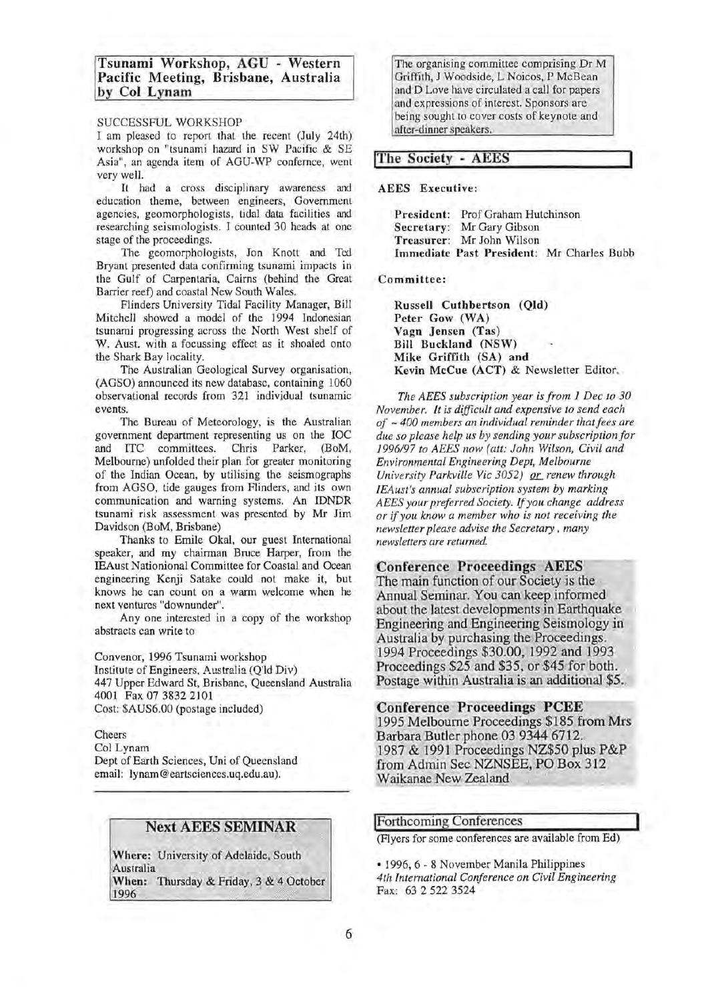Tsunami Workshop, AGU - Western Pacific Meeting, Brisbane, Australia by Col Lynam

#### SUCCESSFUL WORKSHOP

I am pleased to report that the recent (July 24th) workshop on "tsunami hazard in SW Pacific & SE Asia", an agenda item of AGU-WP confernce, went very well.

It had a cross disciplinary awareness and education theme, between engineers, Government agencies, geomorphologists, tidal data facilities and researching seismologists. I counted 30 heads at one stage of the proceedings.

The geomorphologists, Jon Knott and Ted Bryant presented data confirming tsunami impacts in the Gulf of Carpentaria, Cairns (behind the Great Barrier reef) and coastal New South Wales.

Flinders University Tidal Facility Manager, Bill Mitchell showed a model of the 1994 Indonesian tsunami progressing across the North West shelf of W. Aust. with a focussing effect as it shoaled onto the Shark Bay locality.

The Australian Geological Survey organisation, (AGSO) announced its new database, containing 1060 observational records from 321 individual tsunamic events.

The Bureau of Meteorology, is the Australian government department representing us on the IOC<br>and ITC committees. Chris Parker, (BoM, Chris Parker, (BoM, Melbourne) unfolded their plan for greater monitoring of the Indian Ocean, by utilising the seismographs from AGSO, tide gauges from Flinders, and its own communication and warning systems. An IDNDR tsunami risk assessment was presented by Mr Jim Davidson (BoM, Brisbane)

Thanks to Emile Okal, our guest International speaker, and my chairman Bruce Harper, from the IEAust Nationional Committee for Coastal and Ocean engineering Kenji Satake could not make it, but knows he can count on a warm welcome when he next ventures "downunder".

Any one interested in a copy of the workshop abstracts can write to

Convenor, 1996 Tsunami workshop Institute of Engineers, Australia (Q'ld Div) 447 Upper Edward St, Brisbane, Queensland Australia 4001 Fax 07 3832 2101 Cost: \$AUS6.00 (postage included)

Cheers Col Lynam Dept of Earth Sciences, Uni of Queensland email: lynam@eartsciences.uq.edu.au).

### Next AEES SEMINAR

Where: University of Adelaide, South Australia When: Thursday & Friday, 3 & 4 October 1996

The organising committee comprising Dr M Griffith, J Woodside, L Noicos, P McBean and D Love have circulated a call for papers and expressions of interest. Sponsors are being sought to cover costs of keynote and after-dinner speakers.

#### ITbe Society - AEES

AEES Executive:

President: Prof Graham Hutchinson Secretary: Mr Gary Gibson Treasurer: Mr John Wilson Immediate Past President: Mr Charles Bubb

Committee:

Russell Cuthbertson (Qld) Peter Gow (WA) Vagn Jensen (Tas) Bill Buckland (NSW) Mike Griffith (SA) and Kevin McCue (ACT) & Newsletter Editor.

*The AEES subscription year is from 1 Dec to 30 November. It is difficult and expensive to send each of* - *400 members an individual reminder that fees are due so please help us by sending your subscription for 1996197 to AEES now (att: John Wilson, Civil and Environmental Engineering Dept, Melbourne University Parkville Vic 3052) or renew through IEAust's annual subscription system by marking AEES your preferred Society. If you change address or* if *you know a member who is not receiving the newsletter please advise the Secretary, many newsletters are returned* 

#### Conference Proceedings AEES

The main function of our Society is the<br>Annual Seminar. You can keep informed about the latest developments in Earthquake Engineering and Engineering Seismology in<br>Australia by purchasing the Proceedings. 1994 Proceedings \$30.00, 1992 and 1993 Proceedings \$25 and \$35, or \$45 for both. Postage within Australia is an additional \$5.

Conference Proceedings PCEE 1995. Melbourne Proceedings \$185 from Mrs Barbara Butler phone 03 9344 6712. 1987 & 1991 Proceedings NZ\$50 plus P&P from Admin Sec NZNSEE, PO Box 312 Waikanae New Zealand

#### !Forthcoming Conferences

(Flyers for some conferences are available from Ed)

• 1996, 6 - 8 November Manila Philippines *4th International Conference on Civil Engineering*  Fax: 63 2 522 3524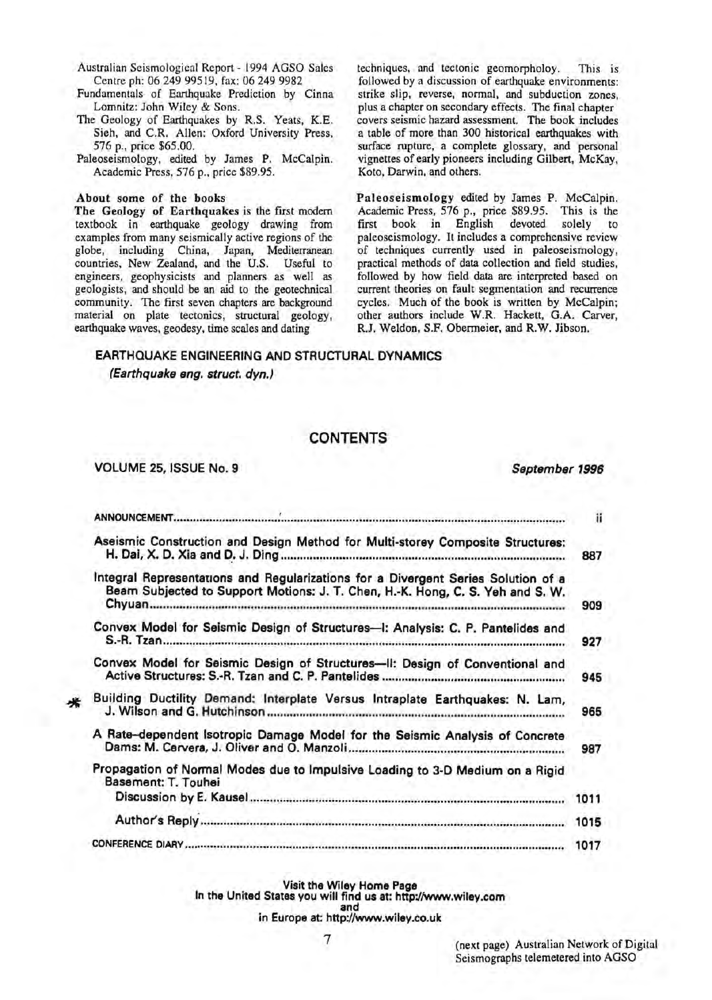- Australian Seismological Report- 1994 AGSO Sales Centre ph: 06 249 99519, fax: 06 249 9982
- Fundamentals of Earthquake Prediction by Cinna Lomnitz: John Wiley & Sons.
- The Geology of Earthquakes by R.S. Yeats, K.E. Sieh, and C.R. Allen: Oxford University Press, 576 p., price \$65.00.
- Paleoseismology, edited by James P. McCalpin. Academic Press, 576 p., price \$89.95.

#### About some of the books

The Geology of Earthquakes is the first modem textbook in earthquake geology drawing from examples from many seismically active regions of the globe, including China, Japan, Mediterranean countries, New Zealand, and the U.S. Useful to engineers, geophysicists and planners as well as geologists, and should be an aid to the geotechnical community. The first seven chapters are background material on plate tectonics, structural geology, earthquake waves, geodesy, time scales and dating

techniques, and tectonic geomorpholoy. This is followed by a discussion of earthquake environments: strike slip, reverse, normal, and subduction zones, plus a chapter on secondary effects. The final chapter covers seismic hazard assessment. The book includes a table of more than 300 historical earthquakes with surface rupture, a complete glossary, and personal vignettes of early pioneers including Gilbert, McKay, Koto, Darwin, and others.

Paleoseismology edited by James P. McCalpin. Academic Press, 576 p., price \$89.95. This is the first book in English devoted solely to paleoseismology. It includes a comprehensive review of techniques currently used in paleoseismology, practical methods of data collection and field studies, followed by how field data are interpreted based on current theories on fault segmentation and recurrence cycles. Much of the book is written by McCalpin; other authors include W.R. Hackett, G.A. Carver, R.J. Weldon, S.F. Obermeier, and R.W. Jibson.

#### EARTHQUAKE ENGINEERING AND STRUCTURAL DYNAMICS

(Earthquake eng. struct. dyn.)

#### **CONTENTS**

#### VOLUME 25, ISSUE No. 9 September 1996

|                                                                                                                                                                     | ii   |
|---------------------------------------------------------------------------------------------------------------------------------------------------------------------|------|
| Aseismic Construction and Design Method for Multi-storey Composite Structures:                                                                                      | 887  |
| Integral Representations and Regularizations for a Divergent Series Solution of a<br>Beam Subjected to Support Motions: J. T. Chen, H.-K. Hong, C. S. Yeh and S. W. | 909  |
| Convex Model for Seismic Design of Structures-i: Analysis: C. P. Pantelides and                                                                                     | 927  |
| Convex Model for Seismic Design of Structures-II: Design of Conventional and                                                                                        | 945  |
| Building Ductility Demand: Interplate Versus Intraplate Earthquakes: N. Lam,                                                                                        | 965  |
| A Rate-dependent Isotropic Damage Model for the Seismic Analysis of Concrete                                                                                        | 987  |
| Propagation of Normal Modes due to Impulsive Loading to 3-D Medium on a Rigid<br>Basement: T. Touhei                                                                |      |
|                                                                                                                                                                     | 1011 |
|                                                                                                                                                                     | 1015 |
|                                                                                                                                                                     | 1017 |

#### Visit the Wiley Home Page

In the United States you will find us at: http://www.wiley.com and

in Europe at: http://www.wiley.co.uk